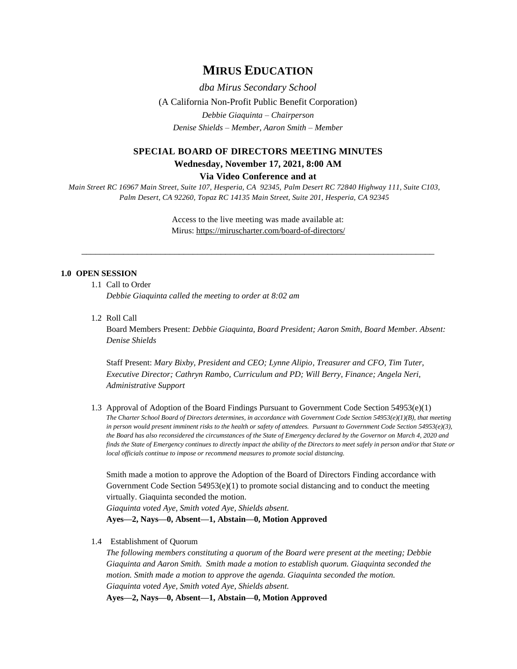## **MIRUS EDUCATION**

*dba Mirus Secondary School* (A California Non-Profit Public Benefit Corporation) *Debbie Giaquinta – Chairperson Denise Shields – Member, Aaron Smith – Member*

# **SPECIAL BOARD OF DIRECTORS MEETING MINUTES Wednesday, November 17, 2021, 8:00 AM**

**Via Video Conference and at**

*Main Street RC 16967 Main Street, Suite 107, Hesperia, CA 92345, Palm Desert RC 72840 Highway 111, Suite C103, Palm Desert, CA 92260, Topaz RC 14135 Main Street, Suite 201, Hesperia, CA 92345*

> Access to the live meeting was made available at: Mirus:<https://miruscharter.com/board-of-directors/>

\_\_\_\_\_\_\_\_\_\_\_\_\_\_\_\_\_\_\_\_\_\_\_\_\_\_\_\_\_\_\_\_\_\_\_\_\_\_\_\_\_\_\_\_\_\_\_\_\_\_\_\_\_\_\_\_\_\_\_\_\_\_\_\_\_\_\_\_\_\_\_\_\_\_\_\_

## **1.0 OPEN SESSION**

1.1 Call to Order

*Debbie Giaquinta called the meeting to order at 8:02 am*

1.2 Roll Call

Board Members Present: *Debbie Giaquinta, Board President; Aaron Smith, Board Member. Absent: Denise Shields*

Staff Present: *Mary Bixby, President and CEO; Lynne Alipio, Treasurer and CFO, Tim Tuter, Executive Director; Cathryn Rambo, Curriculum and PD; Will Berry, Finance; Angela Neri, Administrative Support*

1.3 Approval of Adoption of the Board Findings Pursuant to Government Code Section 54953(e)(1) *The Charter School Board of Directors determines, in accordance with Government Code Section 54953(e)(1)(B), that meeting in person would present imminent risks to the health or safety of attendees. Pursuant to Government Code Section 54953(e)(3), the Board has also reconsidered the circumstances of the State of Emergency declared by the Governor on March 4, 2020 and finds the State of Emergency continues to directly impact the ability of the Directors to meet safely in person and/or that State or local officials continue to impose or recommend measures to promote social distancing.*

Smith made a motion to approve the Adoption of the Board of Directors Finding accordance with Government Code Section  $54953(e)(1)$  to promote social distancing and to conduct the meeting virtually. Giaquinta seconded the motion.

*Giaquinta voted Aye, Smith voted Aye, Shields absent.* **Ayes—2, Nays—0, Absent—1, Abstain—0, Motion Approved**

1.4 Establishment of Quorum

*The following members constituting a quorum of the Board were present at the meeting; Debbie Giaquinta and Aaron Smith. Smith made a motion to establish quorum. Giaquinta seconded the motion. Smith made a motion to approve the agenda. Giaquinta seconded the motion. Giaquinta voted Aye, Smith voted Aye, Shields absent.*

**Ayes—2, Nays—0, Absent—1, Abstain—0, Motion Approved**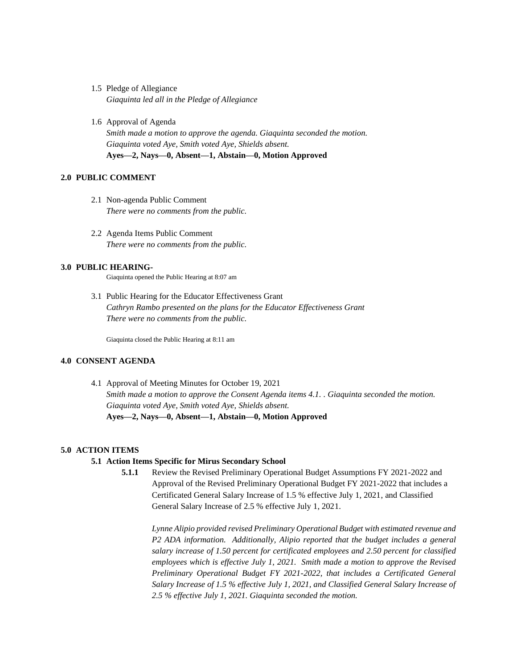- 1.5 Pledge of Allegiance *Giaquinta led all in the Pledge of Allegiance*
- 1.6 Approval of Agenda *Smith made a motion to approve the agenda. Giaquinta seconded the motion. Giaquinta voted Aye, Smith voted Aye, Shields absent.* **Ayes—2, Nays—0, Absent—1, Abstain—0, Motion Approved**

## **2.0 PUBLIC COMMENT**

- 2.1 Non-agenda Public Comment *There were no comments from the public.*
- 2.2 Agenda Items Public Comment *There were no comments from the public.*

#### **3.0 PUBLIC HEARING-**

Giaquinta opened the Public Hearing at 8:07 am

3.1 Public Hearing for the Educator Effectiveness Grant *Cathryn Rambo presented on the plans for the Educator Effectiveness Grant There were no comments from the public.*

Giaquinta closed the Public Hearing at 8:11 am

#### **4.0 CONSENT AGENDA**

4.1 Approval of Meeting Minutes for October 19, 2021 *Smith made a motion to approve the Consent Agenda items 4.1. . Giaquinta seconded the motion. Giaquinta voted Aye, Smith voted Aye, Shields absent.* **Ayes—2, Nays—0, Absent—1, Abstain—0, Motion Approved**

## **5.0 ACTION ITEMS**

#### **5.1 Action Items Specific for Mirus Secondary School**

**5.1.1** Review the Revised Preliminary Operational Budget Assumptions FY 2021-2022 and Approval of the Revised Preliminary Operational Budget FY 2021-2022 that includes a Certificated General Salary Increase of 1.5 % effective July 1, 2021, and Classified General Salary Increase of 2.5 % effective July 1, 2021.

*Lynne Alipio provided revised Preliminary Operational Budget with estimated revenue and P2 ADA information. Additionally, Alipio reported that the budget includes a general salary increase of 1.50 percent for certificated employees and 2.50 percent for classified employees which is effective July 1, 2021. Smith made a motion to approve the Revised Preliminary Operational Budget FY 2021-2022, that includes a Certificated General Salary Increase of 1.5 % effective July 1, 2021, and Classified General Salary Increase of 2.5 % effective July 1, 2021. Giaquinta seconded the motion.*